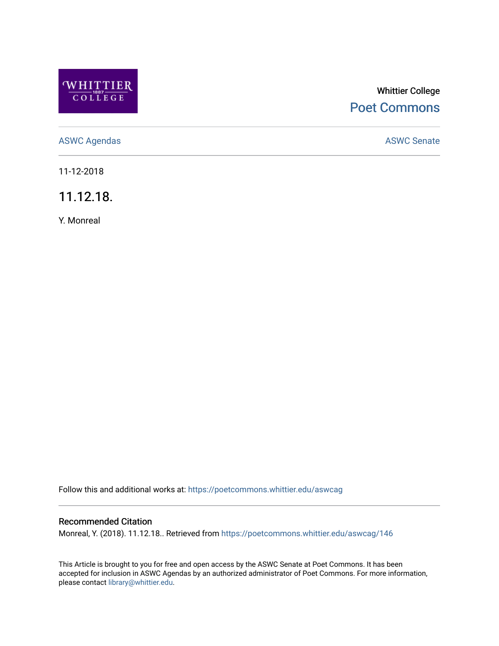

# Whittier College [Poet Commons](https://poetcommons.whittier.edu/)

[ASWC Agendas](https://poetcommons.whittier.edu/aswcag) **ASWC Senate** 

11-12-2018

11.12.18.

Y. Monreal

Follow this and additional works at: [https://poetcommons.whittier.edu/aswcag](https://poetcommons.whittier.edu/aswcag?utm_source=poetcommons.whittier.edu%2Faswcag%2F146&utm_medium=PDF&utm_campaign=PDFCoverPages) 

# Recommended Citation

Monreal, Y. (2018). 11.12.18.. Retrieved from [https://poetcommons.whittier.edu/aswcag/146](https://poetcommons.whittier.edu/aswcag/146?utm_source=poetcommons.whittier.edu%2Faswcag%2F146&utm_medium=PDF&utm_campaign=PDFCoverPages) 

This Article is brought to you for free and open access by the ASWC Senate at Poet Commons. It has been accepted for inclusion in ASWC Agendas by an authorized administrator of Poet Commons. For more information, please contact [library@whittier.edu](mailto:library@whittier.edu).